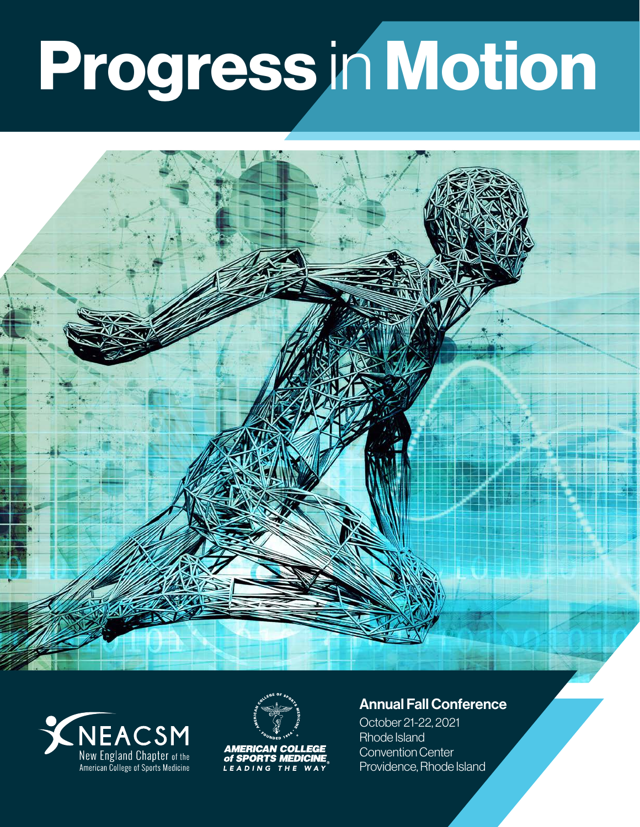# Progress in Motion







**AMERICAN COLLEGE<br>of SPORTS MEDICINE** LEADING THE WAY

### Annual Fall Conference

October 21-22, 2021 Rhode Island Convention Center Providence, Rhode Island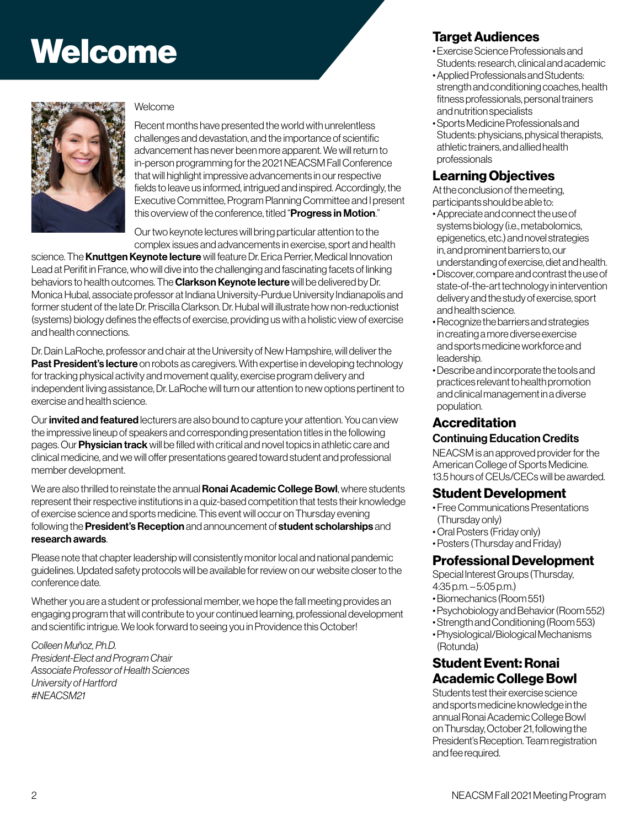## **Welcome Target Audiences**<br>
Welcome Target Audiences<br>
Students research clinics



#### Welcome

Recent months have presented the world with unrelentless challenges and devastation, and the importance of scientific advancement has never been more apparent. We will return to in-person programming for the 2021 NEACSM Fall Conference that will highlight impressive advancements in our respective fields to leave us informed, intrigued and inspired. Accordingly, the Executive Committee, Program Planning Committee and I present this overview of the conference, titled "Progress in Motion."

Our two keynote lectures will bring particular attention to the complex issues and advancements in exercise, sport and health

science. The Knuttgen Keynote lecture will feature Dr. Erica Perrier, Medical Innovation Lead at Perifit in France, who will dive into the challenging and fascinating facets of linking behaviors to health outcomes. The **Clarkson Keynote lecture** will be delivered by Dr. Monica Hubal, associate professor at Indiana University-Purdue University Indianapolis and former student of the late Dr. Priscilla Clarkson. Dr. Hubal will illustrate how non-reductionist (systems) biology defines the effects of exercise, providing us with a holistic view of exercise and health connections.

Dr. Dain LaRoche, professor and chair at the University of New Hampshire, will deliver the Past President's lecture on robots as caregivers. With expertise in developing technology for tracking physical activity and movement quality, exercise program delivery and independent living assistance, Dr. LaRoche will turn our attention to new options pertinent to exercise and health science.

Our invited and featured lecturers are also bound to capture your attention. You can view the impressive lineup of speakers and corresponding presentation titles in the following pages. Our **Physician track** will be filled with critical and novel topics in athletic care and clinical medicine, and we will offer presentations geared toward student and professional member development.

We are also thrilled to reinstate the annual **Ronai Academic College Bowl**, where students represent their respective institutions in a quiz-based competition that tests their knowledge of exercise science and sports medicine. This event will occur on Thursday evening following the **President's Reception** and announcement of **student scholarships** and research awards.

Please note that chapter leadership will consistently monitor local and national pandemic guidelines. Updated safety protocols will be available for review on our website closer to the conference date.

Whether you are a student or professional member, we hope the fall meeting provides an engaging program that will contribute to your continued learning, professional development and scientific intrigue. We look forward to seeing you in Providence this October!

*Colleen Muñoz, Ph.D. President-Elect and Program Chair Associate Professor of Health Sciences University of Hartford #NEACSM21*

- Exercise Science Professionals and Students: research, clinical and academic
- Applied Professionals and Students: strength and conditioning coaches, health fitness professionals, personal trainers and nutrition specialists
- Sports Medicine Professionals and Students: physicians, physical therapists, athletic trainers, and allied health professionals

#### Learning Objectives

At the conclusion of the meeting, participants should be able to:

- Appreciate and connect the use of systems biology (i.e., metabolomics, epigenetics, etc.) and novel strategies in, and prominent barriers to, our understanding of exercise, diet and health.
- Discover, compare and contrast the use of state-of-the-art technology in intervention delivery and the study of exercise, sport and health science.
- Recognize the barriers and strategies in creating a more diverse exercise and sports medicine workforce and leadership.
- Describe and incorporate the tools and practices relevant to health promotion and clinical management in a diverse population.

#### **Accreditation** Continuing Education Credits

NEACSM is an approved provider for the American College of Sports Medicine. 13.5 hours of CEUs/CECs will be awarded.

#### Student Development

- Free Communications Presentations (Thursday only)
- Oral Posters (Friday only)
- Posters (Thursday and Friday)

#### Professional Development

Special Interest Groups (Thursday, 4:35 p.m. – 5:05 p.m.)

- Biomechanics (Room 551)
- Psychobiology and Behavior (Room 552)
- Strength and Conditioning (Room 553)
- Physiological/Biological Mechanisms (Rotunda)

#### Student Event: Ronai Academic College Bowl

Students test their exercise science and sports medicine knowledge in the annual Ronai Academic College Bowl on Thursday, October 21, following the President's Reception. Team registration and fee required.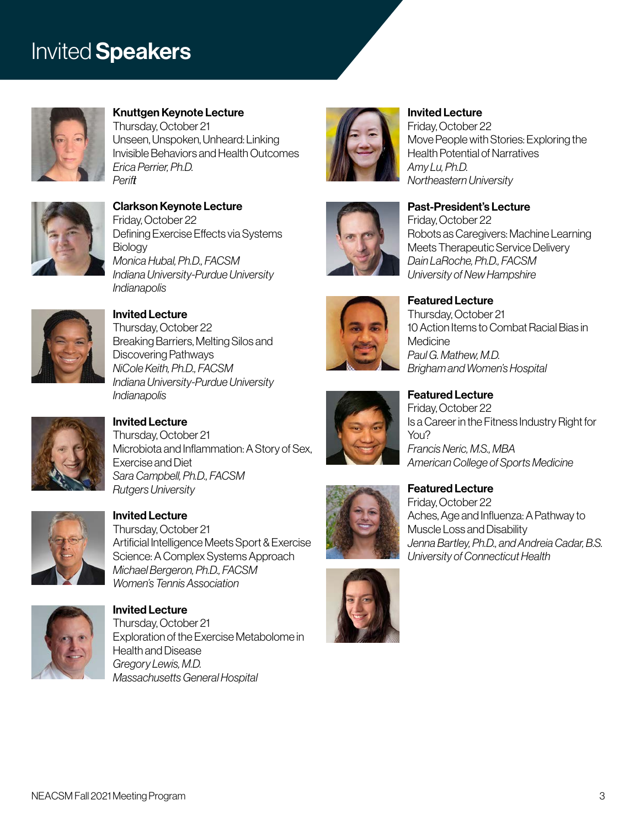## **Invited Speakers**



## Knuttgen Keynote Lecture

Thursday, October 21 Unseen, Unspoken, Unheard: Linking Invisible Behaviors and Health Outcomes *Erica Perrier, Ph.D. Perifit*



#### Clarkson Keynote Lecture Friday, October 22 Defining Exercise Effects via Systems **Biology** *Monica Hubal, Ph.D., FACSM Indiana University-Purdue University Indianapolis*



#### Invited Lecture Thursday, October 22 Breaking Barriers, Melting Silos and Discovering Pathways *NiCole Keith, Ph.D., FACSM Indiana University-Purdue University Indianapolis*



#### Invited Lecture Thursday, October 21 Microbiota and Inflammation: A Story of Sex, Exercise and Diet *Sara Campbell, Ph.D., FACSM Rutgers University*



Invited Lecture Thursday, October 21 Artificial Intelligence Meets Sport & Exercise Science: A Complex Systems Approach *Michael Bergeron, Ph.D., FACSM Women's Tennis Association*



Invited Lecture Thursday, October 21 Exploration of the Exercise Metabolome in Health and Disease *Gregory Lewis, M.D. Massachusetts General Hospital*





#### Invited Lecture Friday, October 22 Move People with Stories: Exploring the Health Potential of Narratives *Amy Lu, Ph.D.*

#### Past-President's Lecture Friday, October 22 Robots as Caregivers: Machine Learning Meets Therapeutic Service Delivery

*Northeastern University*



Featured Lecture Thursday, October 21 10 Action Items to Combat Racial Bias in **Medicine** *Paul G. Mathew, M.D. Brigham and Women's Hospital*



#### Featured Lecture Friday, October 22 Is a Career in the Fitness Industry Right for Y<sub>OU?</sub> *Francis Neric, M.S., MBA American College of Sports Medicine*



#### Featured Lecture Friday, October 22

Aches, Age and Influenza: A Pathway to Muscle Loss and Disability *Jenna Bartley, Ph.D., and Andreia Cadar, B.S. University of Connecticut Health*

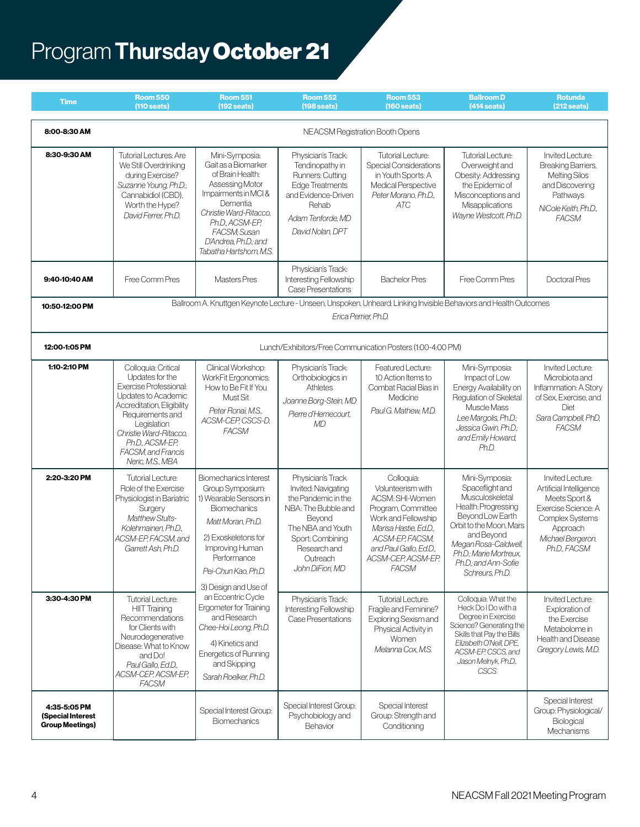## Program Thursday October 21

| <b>Time</b>                                                 | <b>Room 550</b><br>$(110 \text{ seats})$                                                                                                                                                                                                        | <b>Room 551</b><br>$(192$ seats)                                                                                                                                                                                               | <b>Room 552</b><br>$(198$ seats)                                                                                                                                                          | <b>Room 553</b><br>$(160$ seats)                                                                                                                                                                            | <b>Ballroom D</b><br>$(414$ seats)                                                                                                                                                                                                    | <b>Rotunda</b><br>$(212$ seats)                                                                                                                                |  |
|-------------------------------------------------------------|-------------------------------------------------------------------------------------------------------------------------------------------------------------------------------------------------------------------------------------------------|--------------------------------------------------------------------------------------------------------------------------------------------------------------------------------------------------------------------------------|-------------------------------------------------------------------------------------------------------------------------------------------------------------------------------------------|-------------------------------------------------------------------------------------------------------------------------------------------------------------------------------------------------------------|---------------------------------------------------------------------------------------------------------------------------------------------------------------------------------------------------------------------------------------|----------------------------------------------------------------------------------------------------------------------------------------------------------------|--|
| 8:00-8:30 AM                                                | NEACSM Registration Booth Opens                                                                                                                                                                                                                 |                                                                                                                                                                                                                                |                                                                                                                                                                                           |                                                                                                                                                                                                             |                                                                                                                                                                                                                                       |                                                                                                                                                                |  |
| 8:30-9:30 AM                                                | <b>Tutorial Lectures: Are</b><br>We Still Overdrinking<br>during Exercise?<br>Suzanne Young, Ph.D.;<br>Cannabidiol (CBD),<br>Worth the Hype?<br>David Ferrer, Ph.D.                                                                             | Mini-Symposia:<br>Gait as a Biomarker<br>of Brain Health:<br>Assessing Motor<br>Impairments in MCI&<br>Dementia<br>Christie Ward-Ritacco,<br>Ph.D., ACSM-EP.<br>FACSM; Susan<br>D'Andrea, Ph.D.; and<br>Tabatha Hartshom, M.S. | Physician's Track:<br>Tendinopathy in<br>Runners: Cutting<br><b>Edge Treatments</b><br>and Evidence-Driven<br>Rehab<br>Adam Tenforde, MD<br>David Nolan, DPT                              | <b>Tutorial Lecture:</b><br><b>Special Considerations</b><br>in Youth Sports: A<br>Medical Perspective<br>Peter Morano, Ph.D.,<br><b>ATC</b>                                                                | Tutorial Lecture:<br>Overweight and<br>Obesity: Addressing<br>the Epidemic of<br>Misconceptions and<br>Misapplications<br>Wayne Westcott, Ph.D.                                                                                       | Invited Lecture:<br>Breaking Barriers,<br><b>Melting Silos</b><br>and Discovering<br>Pathways<br>NiCole Keith, Ph.D.,<br><b>FACSM</b>                          |  |
| 9:40-10:40 AM                                               | Free Comm Pres                                                                                                                                                                                                                                  | <b>Masters Pres</b>                                                                                                                                                                                                            | Physician's Track:<br>Interesting Fellowship<br><b>Case Presentations</b>                                                                                                                 | <b>Bachelor Pres</b>                                                                                                                                                                                        | Free Comm Pres                                                                                                                                                                                                                        | Doctoral Pres                                                                                                                                                  |  |
| 10:50-12:00 PM                                              | Ballroom A. Knuttgen Keynote Lecture - Unseen, Unspoken, Unheard: Linking Invisible Behaviors and Health Outcomes<br>Erica Perrier, Ph.D.                                                                                                       |                                                                                                                                                                                                                                |                                                                                                                                                                                           |                                                                                                                                                                                                             |                                                                                                                                                                                                                                       |                                                                                                                                                                |  |
| 12:00-1:05 PM                                               | Lunch/Exhibitors/Free Communication Posters (1:00-4:00 PM)                                                                                                                                                                                      |                                                                                                                                                                                                                                |                                                                                                                                                                                           |                                                                                                                                                                                                             |                                                                                                                                                                                                                                       |                                                                                                                                                                |  |
| 1:10-2:10 PM                                                | Colloquia: Critical<br>Updates for the<br>Exercise Professional:<br>Updates to Academic<br>Accreditation, Eligibility<br>Requirements and<br>Legislation<br>Christie Ward-Ritacco.<br>Ph.D., ACSM-EP,<br>FACSM, and Francis<br>Neric, M.S., MBA | Clinical Workshop:<br>WorkFit Ergonomics:<br>How to Be Fit If You<br>Must Sit<br>Peter Ronai, M.S.,<br>ACSM-CEP, CSCS-D,<br><b>FACSM</b>                                                                                       | Physician's Track:<br>Orthobiologics in<br>Athletes<br>Joanne Borg-Stein, MD<br>Pierre d'Hemecourt.<br>MD                                                                                 | Featured Lecture:<br>10 Action Items to<br>Combat Racial Bias in<br>Medicine<br>Paul G. Mathew, M.D.                                                                                                        | Mini-Symposia:<br>Impact of Low<br>Energy Availability on<br>Regulation of Skeletal<br>Muscle Mass<br>Lee Margolis, Ph.D.;<br>Jessica Gwin, Ph.D.;<br>and Emily Howard,<br>Ph.D.                                                      | Invited Lecture:<br>Microbiota and<br>Inflammation: A Story<br>of Sex, Exercise, and<br>Diet<br>Sara Campbell, PhD,<br><b>FACSM</b>                            |  |
| 2:20-3:20 PM                                                | <b>Tutorial Lecture:</b><br>Role of the Exercise<br>Physiologist in Bariatric<br>Surgery<br><b>Matthew Stults-</b><br>Kolehmainen. Ph.D<br>ACSM-EP, FACSM, and<br>Garrett Ash, Ph.D.                                                            | <b>Biomechanics Interest</b><br>Group Symposium:<br>1) Wearable Sensors in<br><b>Biomechanics</b><br>Matt Moran, Ph.D.<br>2) Exoskeletons for<br>Improving Human<br>Performance<br>Pei-Chun Kao, Ph.D.<br>3) Design and Use of | Physician's Track<br>Invited: Navigating<br>the Pandemic in the<br>NBA: The Bubble and<br>Bevond<br>The NBA and Youth<br>Sport: Combining<br>Research and<br>Outreach<br>John DiFiori, MD | Colloquia:<br>Volunteerism with<br>ACSM: SHI-Women<br>Program, Committee<br>Work and Fellowship<br>Marisa Hastie, Ed.D.,<br>ACSM-EP, FACSM,<br>and Paul Gallo, Ed.D.,<br>ACSM-CEP, ACSM-EP,<br><b>FACSM</b> | Mini-Symposia:<br>Spaceflight and<br>Musculoskeletal<br>Health: Progressing<br>Beyond Low Earth<br>Orbit to the Moon, Mars<br>and Beyond<br>Megan Rosa-Caldwell,<br>Ph.D.; Marie Mortreux,<br>Ph.D.; and Ann-Sofie<br>Schreurs. Ph.D. | Invited Lecture:<br>Artificial Intelligence<br>Meets Sport &<br>Exercise Science: A<br><b>Complex Systems</b><br>Approach<br>Michael Bergeron,<br>Ph.D., FACSM |  |
| 3:30-4:30 PM                                                | <b>Tutorial Lecture:</b><br><b>HIIT Training</b><br>Recommendations<br>for Clients with<br>Neurodegenerative<br>Disease: What to Know<br>and Do!<br>Paul Gallo, Ed.D.,<br>ACSM-CEP, ACSM-EP,<br><b>FACSM</b>                                    | an Eccentric Cycle<br>Ergometer for Training<br>and Research<br>Chee-Hoi Leong, Ph.D.<br>4) Kinetics and<br><b>Energetics of Running</b><br>and Skipping<br>Sarah Roelker, Ph.D.                                               | Physician's Track:<br>Interesting Fellowship<br>Case Presentations                                                                                                                        | <b>Tutorial Lecture:</b><br>Fragile and Feminine?<br>Exploring Sexism and<br>Physical Activity in<br>Women<br>Melanna Cox, M.S.                                                                             | Colloquia: What the<br>Heck Do I Do with a<br>Degree in Exercise<br>Science? Generating the<br>Skills that Pay the Bills<br>Elizabeth O'Neill, DPE,<br>ACSM-EP, CSCS, and<br>Jason Melnyk, Ph.D.,<br><b>CSCS</b>                      | Invited Lecture:<br>Exploration of<br>the Exercise<br>Metabolome in<br><b>Health and Disease</b><br>Gregory Lewis, M.D.                                        |  |
| 4:35-5:05 PM<br>(Special Interest<br><b>Group Meetings)</b> |                                                                                                                                                                                                                                                 | Special Interest Group:<br><b>Biomechanics</b>                                                                                                                                                                                 | Special Interest Group:<br>Psychobiology and<br>Behavior                                                                                                                                  | Special Interest<br>Group: Strength and<br>Conditioning                                                                                                                                                     |                                                                                                                                                                                                                                       | Special Interest<br>Group: Physiological/<br>Biological<br>Mechanisms                                                                                          |  |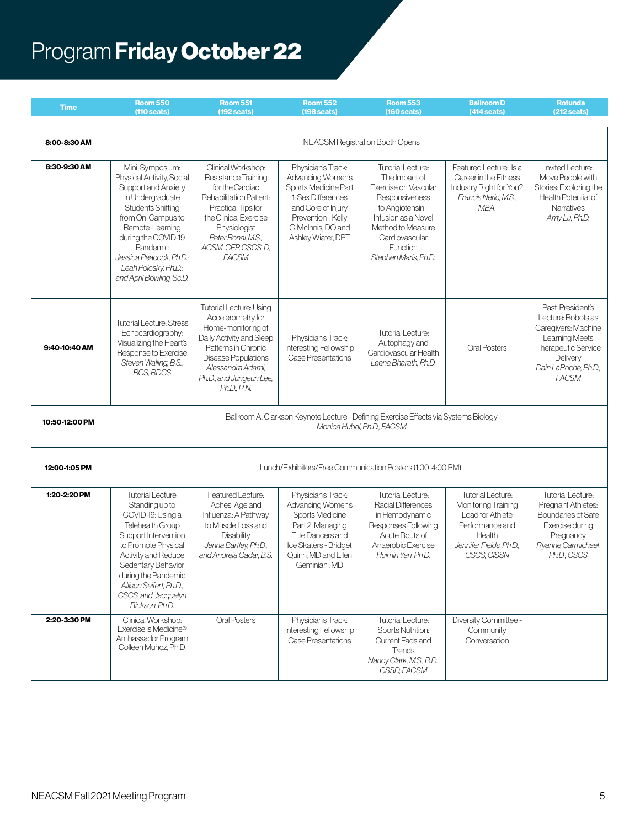## Program Friday October 22

| <b>Time</b>    | <b>Room 550</b><br>$(110 \text{ seats})$                                                                                                                                                                                                                                      | <b>Room 551</b><br>$(192$ seats)                                                                                                                                                                                          | <b>Room 552</b><br>$(198$ seats)                                                                                                                                              | <b>Room 553</b><br>$(160 \text{ seats})$                                                                                                                                                                   | <b>Ballroom D</b><br>$(414$ seats)                                                                                                         | <b>Rotunda</b><br>$(212$ seats)                                                                                                                            |  |
|----------------|-------------------------------------------------------------------------------------------------------------------------------------------------------------------------------------------------------------------------------------------------------------------------------|---------------------------------------------------------------------------------------------------------------------------------------------------------------------------------------------------------------------------|-------------------------------------------------------------------------------------------------------------------------------------------------------------------------------|------------------------------------------------------------------------------------------------------------------------------------------------------------------------------------------------------------|--------------------------------------------------------------------------------------------------------------------------------------------|------------------------------------------------------------------------------------------------------------------------------------------------------------|--|
| 8:00-8:30 AM   | NEACSM Registration Booth Opens                                                                                                                                                                                                                                               |                                                                                                                                                                                                                           |                                                                                                                                                                               |                                                                                                                                                                                                            |                                                                                                                                            |                                                                                                                                                            |  |
| 8:30-9:30 AM   | Mini-Symposium:<br>Physical Activity, Social<br>Support and Anxiety<br>in Undergraduate<br><b>Students Shifting</b><br>from On-Campus to<br>Remote-Learning<br>during the COVID-19<br>Pandemic<br>Jessica Peacock, Ph.D.;<br>Leah Polosky, Ph.D.;<br>and April Bowling, Sc.D. | Clinical Workshop:<br>Resistance Training<br>for the Cardiac<br>Rehabilitation Patient:<br>Practical Tips for<br>the Clinical Exercise<br>Physiologist<br>Peter Ronai, M.S.,<br>ACSM-CEP, CSCS-D,<br><b>FACSM</b>         | Physician's Track:<br>Advancing Women's<br>Sports Medicine Part<br>1: Sex Differences<br>and Core of Injury<br>Prevention - Kelly<br>C. McInnis, DO and<br>Ashley Wiater, DPT | <b>Tutorial Lecture:</b><br>The Impact of<br>Exercise on Vascular<br>Responsiveness<br>to Angiotensin II<br>Infusion as a Novel<br>Method to Measure<br>Cardiovascular<br>Function<br>Stephen Maris, Ph.D. | Featured Lecture: Is a<br>Career in the Fitness<br>Industry Right for You?<br>Francis Neric, M.S.,<br>MBA.                                 | Invited Lecture:<br>Move People with<br>Stories: Exploring the<br>Health Potential of<br>Narratives<br>Amy Lu, Ph.D.                                       |  |
| 9:40-10:40 AM  | <b>Tutorial Lecture: Stress</b><br>Echocardiography:<br>Visualizing the Heart's<br>Response to Exercise<br>Steven Walling, B.S.,<br>RCS, RDCS                                                                                                                                 | <b>Tutorial Lecture: Using</b><br>Accelerometry for<br>Home-monitoring of<br>Daily Activity and Sleep<br>Patterns in Chronic<br><b>Disease Populations</b><br>Alessandra Adami,<br>Ph.D., and Jungeun Lee,<br>Ph.D., R.N. | Physician's Track:<br><b>Interesting Fellowship</b><br>Case Presentations                                                                                                     | <b>Tutorial Lecture:</b><br>Autophagy and<br>Cardiovascular Health<br>Leena Bharath, Ph.D.                                                                                                                 | <b>Oral Posters</b>                                                                                                                        | Past-President's<br>Lecture: Robots as<br>Caregivers: Machine<br>Learning Meets<br>Therapeutic Service<br>Delivery<br>Dain LaRoche, Ph.D.,<br><b>FACSM</b> |  |
| 10:50-12:00 PM | Ballroom A. Clarkson Keynote Lecture - Defining Exercise Effects via Systems Biology<br>Monica Hubal, Ph.D., FACSM                                                                                                                                                            |                                                                                                                                                                                                                           |                                                                                                                                                                               |                                                                                                                                                                                                            |                                                                                                                                            |                                                                                                                                                            |  |
| 12:00-1:05 PM  | Lunch/Exhibitors/Free Communication Posters (1:00-4:00 PM)                                                                                                                                                                                                                    |                                                                                                                                                                                                                           |                                                                                                                                                                               |                                                                                                                                                                                                            |                                                                                                                                            |                                                                                                                                                            |  |
| 1:20-2:20 PM   | <b>Tutorial Lecture:</b><br>Standing up to<br>COVID-19: Using a<br>Telehealth Group<br>Support Intervention<br>to Promote Physical<br>Activity and Reduce<br>Sedentary Behavior<br>during the Pandemic<br>Allison Seifert, Ph.D.,<br>CSCS, and Jacquelyn<br>Rickson Ph.D.     | Featured Lecture:<br>Aches, Age and<br>Influenza: A Pathway<br>to Muscle Loss and<br>Disability<br>Jenna Bartley, Ph.D.,<br>and Andreia Cadar, B.S.                                                                       | Physician's Track:<br>Advancing Women's<br>Sports Medicine<br>Part 2: Managing<br>Elite Dancers and<br>Ice Skaters - Bridget<br>Quinn, MD and Ellen<br>Geminiani, MD          | <b>Tutorial Lecture:</b><br>Racial Differences<br>in Hemodynamic<br>Responses Following<br>Acute Bouts of<br>Anaerobic Exercise<br>Huimin Yan, Ph.D.                                                       | <b>Tutorial Lecture:</b><br>Monitoring Training<br>Load for Athlete<br>Performance and<br>Health<br>Jennifer Fields, Ph.D.,<br>CSCS. CISSN | <b>Tutorial Lecture:</b><br>Pregnant Athletes:<br>Boundaries of Safe<br>Exercise during<br>Pregnancy<br>Ryanne Carmichael,<br>Ph.D., CSCS                  |  |
| 2:20-3:30 PM   | Clinical Workshop:<br>Exercise is Medicine®<br>Ambassador Program<br>Colleen Muñoz, Ph.D.                                                                                                                                                                                     | Oral Posters                                                                                                                                                                                                              | Physician's Track:<br>Interesting Fellowship<br>Case Presentations                                                                                                            | <b>Tutorial Lecture:</b><br><b>Sports Nutrition:</b><br>Current Fads and<br><b>Trends</b><br>Nancy Clark, M.S., R.D.,<br>CSSD, FACSM                                                                       | Diversity Committee -<br>Community<br>Conversation                                                                                         |                                                                                                                                                            |  |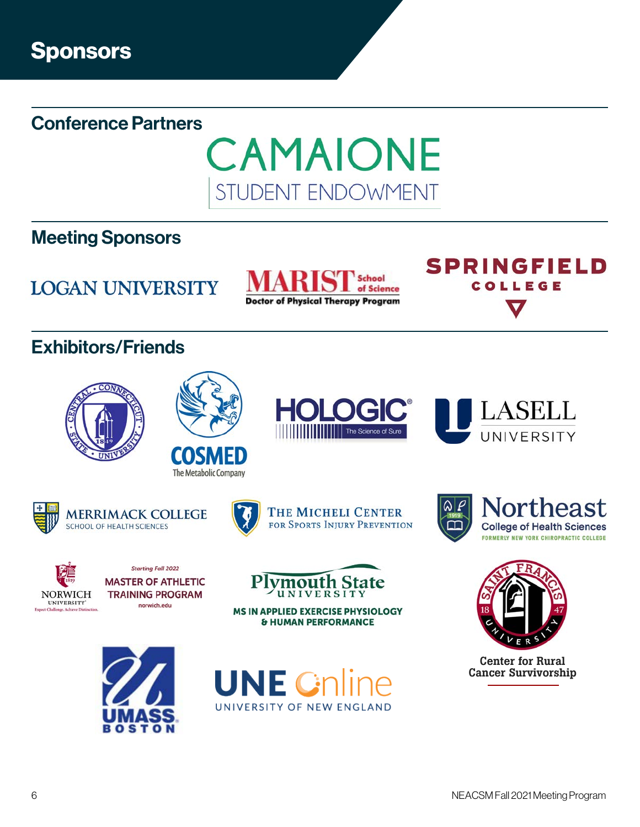Conference Partners



## Meeting Sponsors

**LOGAN UNIVERSITY** 

School of Science **Doctor of Physical Therapy Program** 

## Exhibitors/Friends









**SPRINGFIELD** 

COLLEGE



**UNIVERSITY** 



**TRAINING PROGRAM** norwich.edu





MS IN APPLIED EXERCISE PHYSIOLOGY **& HUMAN PERFORMANCE** 









Center for Rural Cancer Survivorship